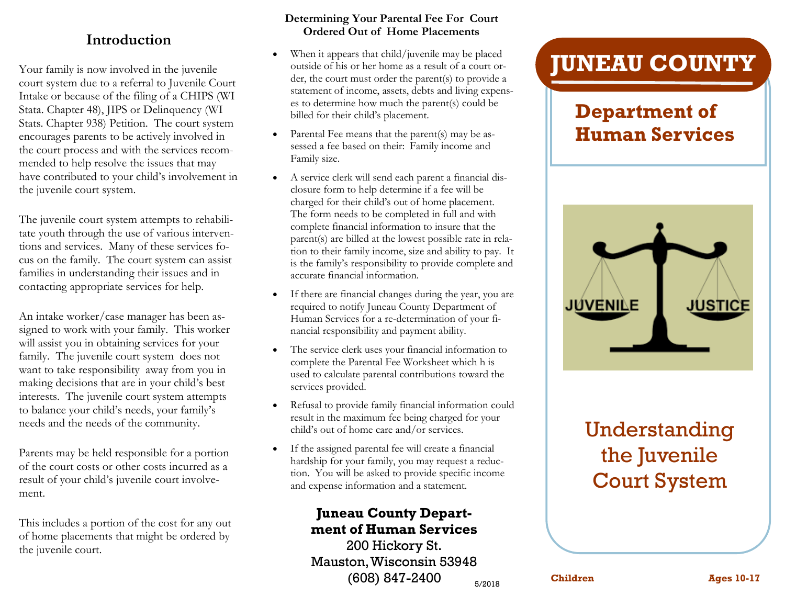#### **Introduction**

Your family is now involved in the juvenile court system due to a referral to Juvenile Court Intake or because of the filing of a CHIPS (WI Stata. Chapter 48), JIPS or Delinquency (WI Stats. Chapter 938) Petition. The court system encourages parents to be actively involved in the court process and with the services recommended to help resolve the issues that may have contributed to your child's involvement in the juvenile court system.

The juvenile court system attempts to rehabilitate youth through the use of various interventions and services. Many of these services focus on the family. The court system can assist families in understanding their issues and in contacting appropriate services for help.

An intake worker/case manager has been assigned to work with your family. This worker will assist you in obtaining services for your family. The juvenile court system does not want to take responsibility away from you in making decisions that are in your child's best interests. The juvenile court system attempts to balance your child's needs, your family's needs and the needs of the community.

Parents may be held responsible for a portion of the court costs or other costs incurred as a result of your child's juvenile court involvement.

This includes a portion of the cost for any out of home placements that might be ordered by the juvenile court.

#### **Determining Your Parental Fee For Court Ordered Out of Home Placements**

- When it appears that child/juvenile may be placed outside of his or her home as a result of a court order, the court must order the parent(s) to provide a statement of income, assets, debts and living expenses to determine how much the parent(s) could be billed for their child's placement.
- Parental Fee means that the parent(s) may be assessed a fee based on their: Family income and Family size.
- A service clerk will send each parent a financial disclosure form to help determine if a fee will be charged for their child's out of home placement. The form needs to be completed in full and with complete financial information to insure that the parent(s) are billed at the lowest possible rate in relation to their family income, size and ability to pay. It is the family's responsibility to provide complete and accurate financial information.
- If there are financial changes during the year, you are required to notify Juneau County Department of Human Services for a re-determination of your financial responsibility and payment ability.
- The service clerk uses your financial information to complete the Parental Fee Worksheet which h is used to calculate parental contributions toward the services provided.
- Refusal to provide family financial information could result in the maximum fee being charged for your child's out of home care and/or services.
- If the assigned parental fee will create a financial hardship for your family, you may request a reduction. You will be asked to provide specific income and expense information and a statement.

#### **Juneau County Department of Human Services**

5/2018 200 Hickory St. Mauston, Wisconsin 53948 (608) 847-2400

# **JUNEAU COUNTY**

## **Department of Human Services**



# Understanding the Juvenile Court System